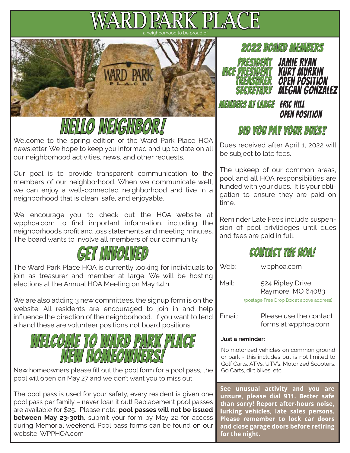# a neighborhood to be proud of





Welcome to the spring edition of the Ward Park Place HOA newsletter. We hope to keep you informed and up to date on all our neighborhood activities, news, and other requests.

Our goal is to provide transparent communication to the members of our neighborhood. When we communicate well, we can enjoy a well-connected neighborhood and live in a neighborhood that is clean, safe, and enjoyable.

We encourage you to check out the HOA website at wpphoa.com to find important information, including the neighborhoods profit and loss statements and meeting minutes. The board wants to involve all members of our community.



The Ward Park Place HOA is currently looking for individuals to join as treasurer and member at large. We will be hosting elections at the Annual HOA Meeting on May 14th.

We are also adding 3 new committees, the signup form is on the website. All residents are encouraged to join in and help influence the direction of the neighborhood. If you want to lend a hand these are volunteer positions not board positions.

## WELCOME TO WARD PARI *New Home*

New homeowners please fill out the pool form for a pool pass, the  $\Box$  Go Carts, dirt bikes, etc. pool will open on May 27 and we don't want you to miss out.

The pool pass is used for your safety, every resident is given one pool pass per family – never loan it out! Replacement pool passes are available for \$25. Please note: **pool passes will not be issued between May 23-30th**, submit your form by May 22 for access during Memorial weekend. Pool pass forms can be found on our website: WPPHOA.com



Members At Large Eric Hill

## open position

### Did you Pay your Dues? pay dues?

Dues received after April 1, 2022 will be subject to late fees.

The upkeep of our common areas, pool and all HOA responsibilities are funded with your dues. It is your obligation to ensure they are paid on time.

Reminder Late Fee's include suspension of pool privlideges until dues and fees are paid in full.



Web: wpphoa.com

Mail: 524 Ripley Drive Raymore, MO 64083

(postage Free Drop Box at above address)

Email: Please use the contact forms at wpphoa.com

#### **Just a reminder:**

No motorized vehicles on common ground or park - this includes but is not limited to Golf Carts, ATVs, UTV's, Motorized Scooters,

See unusual activity and you are unsure, please dial 911. Better safe than sorry! Report after-hours noise, lurking vehicles, late sales persons. Please remember to lock car doors and close garage doors before retiring for the night.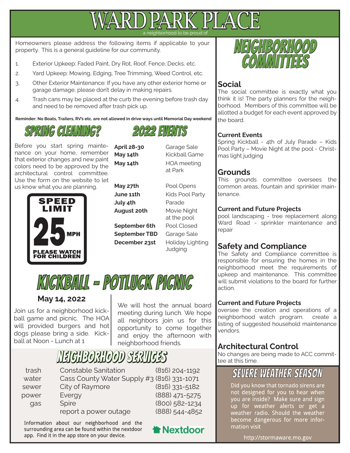

rhood to be proud of

Homeowners please address the following items if applicable to your property. This is a general guideline for our community.

- 1. Exterior Upkeep: Faded Paint, Dry Rot, Roof, Fence, Decks, etc.
- 2. Yard Upkeep: Mowing, Edging, Tree Trimming, Weed Control, etc.
- 3. Other Exterior Maintenance: If you have any other exterior home or garage damage, please don't delay in making repairs.
- 4. Trash cans may be placed at the curb the evening before trash day and need to be removed after trash pick up.

**Reminder: No Boats, Trailers, RV's etc. are not allowed in drive ways until Memorial Day weekend**

## SPRING GIFANING2

Before you start spring maintenance on your home, remember that exterior changes and new paint colors need to be approved by the architectural control committee. Use the form on the website to let us know what you are planning.



**May 27th Pool Opens July 4th** Parade

- **September 6th** Pool Closed **September TBD** Garage Sale
- 

**April 28-30** Garage Sale **May 14th Kickball Game May 14th HOA meeting** at Park

 $2022$  EVENTS

**June 11th Kids Pool Party August 20th** Movie Night at the pool **December 23st** Holiday Lighting Judging

## KICKBALL - Potluck Picnic

#### **May 14, 2022**

Join us for a neighborhood kickball game and picnic. The HOA will provided burgers and hot dogs please bring a side. Kickball at Noon - Lunch at 1

We will host the annual board meeting during lunch. We hope all neighbors join us for this opportunity to come together and enjoy the afternoon with neighborhood friends.

## neighborhood services

| trash | <b>Constable Sanitation</b>                | $(816)$ 204-1192 |
|-------|--------------------------------------------|------------------|
| water | Cass County Water Supply #3 (816) 331-1071 |                  |
| sewer | City of Raymore                            | $(816)$ 331-5182 |
| power | Evergy                                     | (888) 471-5275   |
| qas   | <b>Spire</b>                               | (800) 582-1234   |
|       | report a power outage                      | (888) 544-4852   |
|       |                                            |                  |

Information about our neighborhood and the surrounding area can be found within the nextdoor app. Find it in the app store on your device.

**Nextdoor** 



#### **Social**

The social committee is exactly what you think it is! The party planners for the neighborhood. Members of this committee will be allotted a budget for each event approved by the board.

#### **Current Events**

Spring Kickball - 4th of July Parade – Kids Pool Party – Movie Night at the pool - Christmas light judging

#### **Grounds**

This grounds committee oversees the common areas, fountain and sprinkler maintenance.

#### **Current and Future Projects**

pool landscaping - tree replacement along Ward Road - sprinkler maintenance and repair

#### **Safety and Compliance**

The Safety and Compliance committee is responsible for ensuring the homes in the neighborhood meet the requirements of upkeep and maintenance. This committee will submit violations to the board for further action.

#### **Current and Future Projects**

oversee the creation and operations of a neighborhood watch program. create a listing of suggested household maintenance vendors.

#### **Architectural Control**

No changes are being made to ACC committee at this time.

## **SEVERE WEATHER SEASON**

Did you know that tornado sirens are not designed for you to hear when you are inside? Make sure and sign up for weather alerts or get a weather radio. Should the weather become dangerous for more information visit

http://stormaware.mo.gov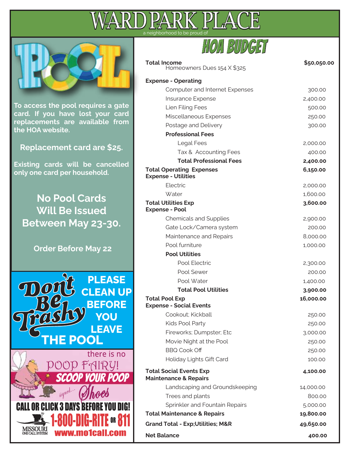



| <b>Total Income</b><br>Homeowners Dues 154 X \$325                 | \$50,050.00 |
|--------------------------------------------------------------------|-------------|
| <b>Expense - Operating</b>                                         |             |
| <b>Computer and Internet Expenses</b>                              | 300.00      |
| Insurance Expense                                                  | 2,400.00    |
| Lien Filing Fees                                                   | 500.00      |
| Miscellaneous Expenses                                             | 250.00      |
| Postage and Delivery                                               | 300.00      |
| <b>Professional Fees</b>                                           |             |
| Legal Fees                                                         | 2,000.00    |
| Tax & Accounting Fees                                              | 400.00      |
| <b>Total Professional Fees</b>                                     | 2,400.00    |
| <b>Total Operating Expenses</b><br><b>Expense - Utilities</b>      | 6,150.00    |
| Electric                                                           | 2,000.00    |
| Water                                                              | 1,600.00    |
| <b>Total Utilities Exp</b><br><b>Expense - Pool</b>                | 3,600.00    |
| <b>Chemicals and Supplies</b>                                      | 2,900.00    |
| Gate Lock/Camera system                                            | 200.00      |
| Maintenance and Repairs                                            | 8,000.00    |
| Pool furniture                                                     | 1,000.00    |
| <b>Pool Utilities</b>                                              |             |
| Pool Electric                                                      | 2,300.00    |
| Pool Sewer                                                         | 200.00      |
| Pool Water                                                         | 1,400.00    |
| <b>Total Pool Utilities</b>                                        | 3,900.00    |
| <b>Total Pool Exp</b>                                              | 16,000.00   |
| <b>Expense - Social Events</b>                                     |             |
| Cookout; Kickball                                                  | 250.00      |
| Kids Pool Party                                                    | 250.00      |
| Fireworks; Dumpster; Etc                                           | 3,000.00    |
| Movie Night at the Pool                                            | 250.00      |
| <b>BBQ Cook Off</b>                                                | 250.00      |
| Holiday Lights Gift Card                                           | 100.00      |
| <b>Total Social Events Exp</b><br><b>Maintenance &amp; Repairs</b> | 4,100.00    |
| Landscaping and Groundskeeping                                     | 14,000.00   |
| Trees and plants                                                   | 800.00      |
| Sprinkler and Fountain Repairs                                     | 5,000.00    |
| <b>Total Maintenance &amp; Repairs</b>                             | 19,800.00   |
| <b>Grand Total - Exp; Utilities; M&amp;R</b>                       | 49,650.00   |
| <b>Net Balance</b>                                                 | 400.00      |
|                                                                    |             |

**To access the pool requires a gate card. If you have lost your card replacements are available from the HOA website.**

**Replacement card are \$25.**

**Existing cards will be cancelled only one card per household.**

**No Pool Cards Will Be Issued Between May 23-30.**

**Order Before May 22**